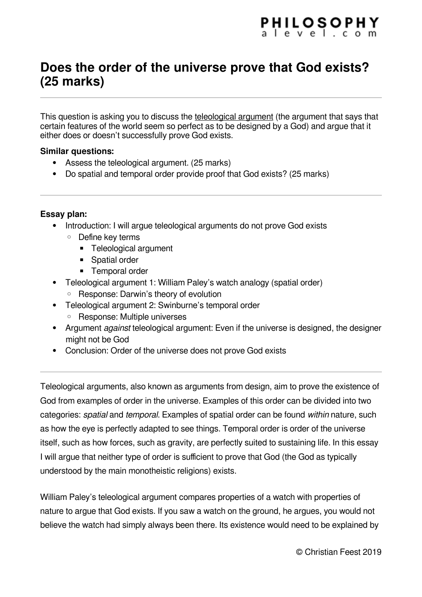## **Does the order of the universe prove that God exists? (25 marks)**

This question is asking you to discuss the teleological argument (the argument that says that certain features of the world seem so perfect as to be designed by a God) and argue that it either does or doesn't successfully prove God exists.

## **Similar questions:**

- Assess the teleological argument. (25 marks)
- Do spatial and temporal order provide proof that God exists? (25 marks)

## **Essay plan:**

- Introduction: I will argue teleological arguments do not prove God exists
	- Define key terms
		- Teleological argument
		- Spatial order
		- Temporal order
- Teleological argument 1: William Paley's watch analogy (spatial order)
	- Response: Darwin's theory of evolution
- Teleological argument 2: Swinburne's temporal order
	- Response: Multiple universes
- Argument *against* teleological argument: Even if the universe is designed, the designer might not be God
- Conclusion: Order of the universe does not prove God exists

Teleological arguments, also known as arguments from design, aim to prove the existence of God from examples of order in the universe. Examples of this order can be divided into two categories: spatial and temporal. Examples of spatial order can be found within nature, such as how the eye is perfectly adapted to see things. Temporal order is order of the universe itself, such as how forces, such as gravity, are perfectly suited to sustaining life. In this essay I will argue that neither type of order is sufficient to prove that God (the God as typically understood by the main monotheistic religions) exists.

William Paley's teleological argument compares properties of a watch with properties of nature to argue that God exists. If you saw a watch on the ground, he argues, you would not believe the watch had simply always been there. Its existence would need to be explained by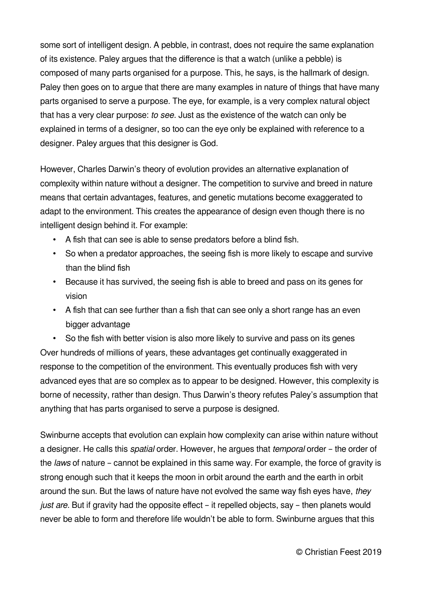some sort of intelligent design. A pebble, in contrast, does not require the same explanation of its existence. Paley argues that the difference is that a watch (unlike a pebble) is composed of many parts organised for a purpose. This, he says, is the hallmark of design. Paley then goes on to argue that there are many examples in nature of things that have many parts organised to serve a purpose. The eye, for example, is a very complex natural object that has a very clear purpose: to see. Just as the existence of the watch can only be explained in terms of a designer, so too can the eye only be explained with reference to a designer. Paley argues that this designer is God.

However, Charles Darwin's theory of evolution provides an alternative explanation of complexity within nature without a designer. The competition to survive and breed in nature means that certain advantages, features, and genetic mutations become exaggerated to adapt to the environment. This creates the appearance of design even though there is no intelligent design behind it. For example:

- A fish that can see is able to sense predators before a blind fish.
- So when a predator approaches, the seeing fish is more likely to escape and survive than the blind fish
- Because it has survived, the seeing fish is able to breed and pass on its genes for vision
- A fish that can see further than a fish that can see only a short range has an even bigger advantage

• So the fish with better vision is also more likely to survive and pass on its genes Over hundreds of millions of years, these advantages get continually exaggerated in response to the competition of the environment. This eventually produces fish with very advanced eyes that are so complex as to appear to be designed. However, this complexity is borne of necessity, rather than design. Thus Darwin's theory refutes Paley's assumption that anything that has parts organised to serve a purpose is designed.

Swinburne accepts that evolution can explain how complexity can arise within nature without a designer. He calls this spatial order. However, he argues that temporal order – the order of the laws of nature – cannot be explained in this same way. For example, the force of gravity is strong enough such that it keeps the moon in orbit around the earth and the earth in orbit around the sun. But the laws of nature have not evolved the same way fish eyes have, they just are. But if gravity had the opposite effect – it repelled objects, say – then planets would never be able to form and therefore life wouldn't be able to form. Swinburne argues that this